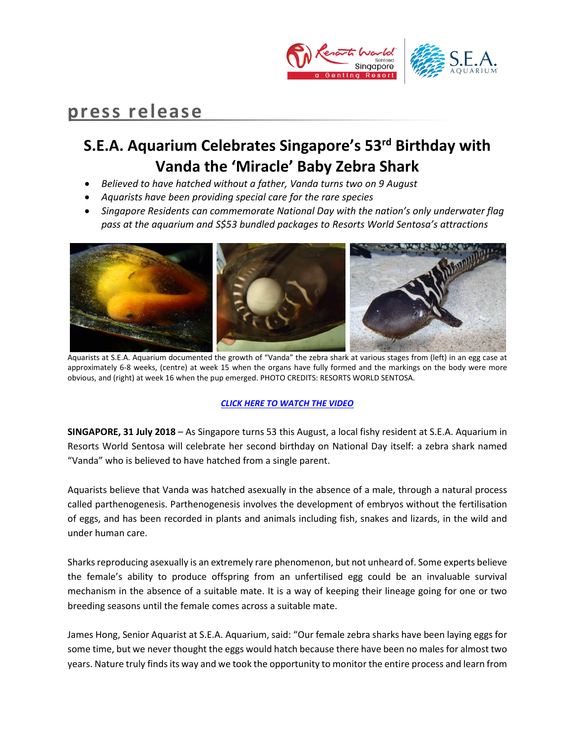

# **press release**

# **S.E.A. Aquarium Celebrates Singapore's 53rd Birthday with Vanda the 'Miracle' Baby Zebra Shark**

- *Believed to have hatched without a father, Vanda turns two on 9 August*
- *Aquarists have been providing special care for the rare species*
- *Singapore Residents can commemorate National Day with the nation's only underwater flag pass at the aquarium and S\$53 bundled packages to Resorts World Sentosa's attractions*



Aquarists at S.E.A. Aquarium documented the growth of "Vanda" the zebra shark at various stages from (left) in an egg case at approximately 6-8 weeks, (centre) at week 15 when the organs have fully formed and the markings on the body were more obvious, and (right) at week 16 when the pup emerged. PHOTO CREDITS: RESORTS WORLD SENTOSA.

### *[CLICK HERE TO WATCH THE VIDEO](https://youtu.be/y4B3ZvehKUA)*

**SINGAPORE, 31 July 2018** – As Singapore turns 53 this August, a local fishy resident at S.E.A. Aquarium in Resorts World Sentosa will celebrate her second birthday on National Day itself: a zebra shark named "Vanda" who is believed to have hatched from a single parent.

Aquarists believe that Vanda was hatched asexually in the absence of a male, through a natural process called parthenogenesis. Parthenogenesis involves the development of embryos without the fertilisation of eggs, and has been recorded in plants and animals including fish, snakes and lizards, in the wild and under human care.

Sharks reproducing asexually is an extremely rare phenomenon, but not unheard of. Some experts believe the female's ability to produce offspring from an unfertilised egg could be an invaluable survival mechanism in the absence of a suitable mate. It is a way of keeping their lineage going for one or two breeding seasons until the female comes across a suitable mate.

James Hong, Senior Aquarist at S.E.A. Aquarium, said: "Our female zebra sharks have been laying eggs for some time, but we never thought the eggs would hatch because there have been no males for almost two years. Nature truly finds its way and we took the opportunity to monitor the entire process and learn from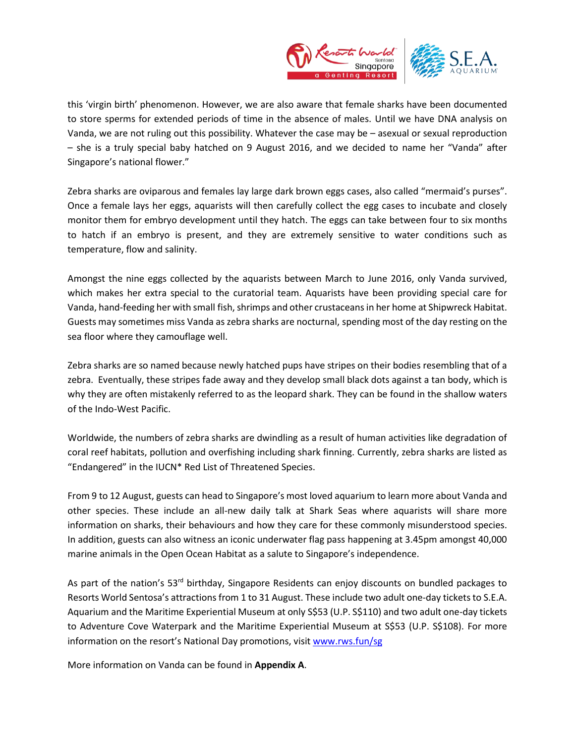

this 'virgin birth' phenomenon. However, we are also aware that female sharks have been documented to store sperms for extended periods of time in the absence of males. Until we have DNA analysis on Vanda, we are not ruling out this possibility. Whatever the case may be – asexual or sexual reproduction – she is a truly special baby hatched on 9 August 2016, and we decided to name her "Vanda" after Singapore's national flower."

[Zebra sharks](http://www.georgiaaquarium.org/animal-guide/georgia-aquarium/home/galleries/ocean-voyager/gallery-animals/zebra-shark) are oviparous and females lay large dark brown eggs cases, also called "mermaid's purses". Once a female lays her eggs, aquarists will then carefully collect the egg cases to incubate and closely monitor them for embryo development until they hatch. The eggs can take between four to six months to hatch if an embryo is present, and they are extremely sensitive to water conditions such as temperature, flow and salinity.

Amongst the nine eggs collected by the aquarists between March to June 2016, only Vanda survived, which makes her extra special to the curatorial team. Aquarists have been providing special care for Vanda, hand-feeding her with small fish, shrimps and other crustaceans in her home at Shipwreck Habitat. Guests may sometimes miss Vanda aszebra sharks are nocturnal, spending most of the day resting on the sea floor where they camouflage well.

Zebra sharks are so named because newly hatched pups have stripes on their bodies resembling that of a zebra. Eventually, these stripes fade away and they develop small black dots against a tan body, which is why they are often mistakenly referred to as the leopard shark. They can be found in the shallow waters of the Indo-West Pacific.

Worldwide, the numbers of zebra sharks are dwindling as a result of human activities like degradation of coral reef habitats, pollution and overfishing including shark finning. Currently, zebra sharks are listed as "Endangered" in the IUCN\* Red List of Threatened Species.

From 9 to 12 August, guests can head to Singapore's most loved aquarium to learn more about Vanda and other species. These include an all-new daily talk at Shark Seas where aquarists will share more information on sharks, their behaviours and how they care for these commonly misunderstood species. In addition, guests can also witness an iconic underwater flag pass happening at 3.45pm amongst 40,000 marine animals in the Open Ocean Habitat as a salute to Singapore's independence.

As part of the nation's 53<sup>rd</sup> birthday, Singapore Residents can enjoy discounts on bundled packages to Resorts World Sentosa's attractions from 1 to 31 August. These include two adult one-day tickets to S.E.A. Aquarium and the Maritime Experiential Museum at only S\$53 (U.P. S\$110) and two adult one-day tickets to Adventure Cove Waterpark and the Maritime Experiential Museum at S\$53 (U.P. S\$108). For more information on the resort's National Day promotions, visit [www.rws.fun/sg](http://www.rws.fun/sg)

More information on Vanda can be found in **Appendix A**.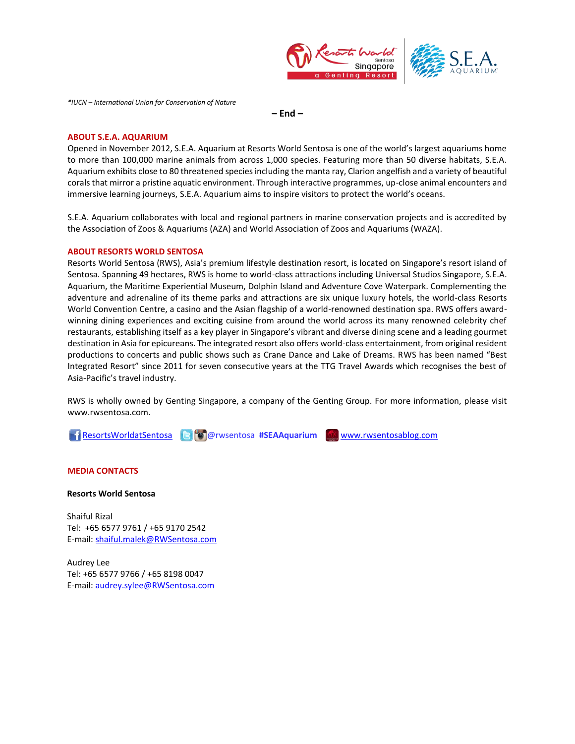



*\*IUCN – International Union for Conservation of Nature* 

**– End –**

#### **ABOUT S.E.A. AQUARIUM**

Opened in November 2012, S.E.A. Aquarium at Resorts World Sentosa is one of the world's largest aquariums home to more than 100,000 marine animals from across 1,000 species. Featuring more than 50 diverse habitats, S.E.A. Aquarium exhibits close to 80 threatened species including the manta ray, Clarion angelfish and a variety of beautiful corals that mirror a pristine aquatic environment. Through interactive programmes, up-close animal encounters and immersive learning journeys, S.E.A. Aquarium aims to inspire visitors to protect the world's oceans.

S.E.A. Aquarium collaborates with local and regional partners in marine conservation projects and is accredited by the Association of Zoos & Aquariums (AZA) and World Association of Zoos and Aquariums (WAZA).

#### **ABOUT RESORTS WORLD SENTOSA**

Resorts World Sentosa (RWS), Asia's premium lifestyle destination resort, is located on Singapore's resort island of Sentosa. Spanning 49 hectares, RWS is home to world-class attractions including Universal Studios Singapore, S.E.A. Aquarium, the Maritime Experiential Museum, Dolphin Island and Adventure Cove Waterpark. Complementing the adventure and adrenaline of its theme parks and attractions are six unique luxury hotels, the world-class Resorts World Convention Centre, a casino and the Asian flagship of a world-renowned destination spa. RWS offers awardwinning dining experiences and exciting cuisine from around the world across its many renowned celebrity chef restaurants, establishing itself as a key player in Singapore's vibrant and diverse dining scene and a leading gourmet destination in Asia for epicureans. The integrated resort also offers world-class entertainment, from original resident productions to concerts and public shows such as Crane Dance and Lake of Dreams. RWS has been named "Best Integrated Resort" since 2011 for seven consecutive years at the TTG Travel Awards which recognises the best of Asia-Pacific's travel industry.

RWS is wholly owned by Genting Singapore, a company of the Genting Group. For more information, please visit [www.rwsentosa.com.](http://www.rwsentosa.com/)

[ResortsWorldatSentosa](https://www.facebook.com/ResortsWorldatSentosa) @rwsentosa **#SEAAquarium** [www.rwsentosablog.com](http://www.rwsentosablog.com/)

**MEDIA CONTACTS**

**Resorts World Sentosa**

Shaiful Rizal Tel: +65 6577 9761 / +65 9170 2542 E-mail[: shaiful.malek@RWSentosa.com](mailto:shaiful.malek@RWSentosa.com)

Audrey Lee Tel: +65 6577 9766 / +65 8198 0047 E-mail[: audrey.sylee@RWSentosa.com](mailto:audrey.sylee@RWSentosa.com)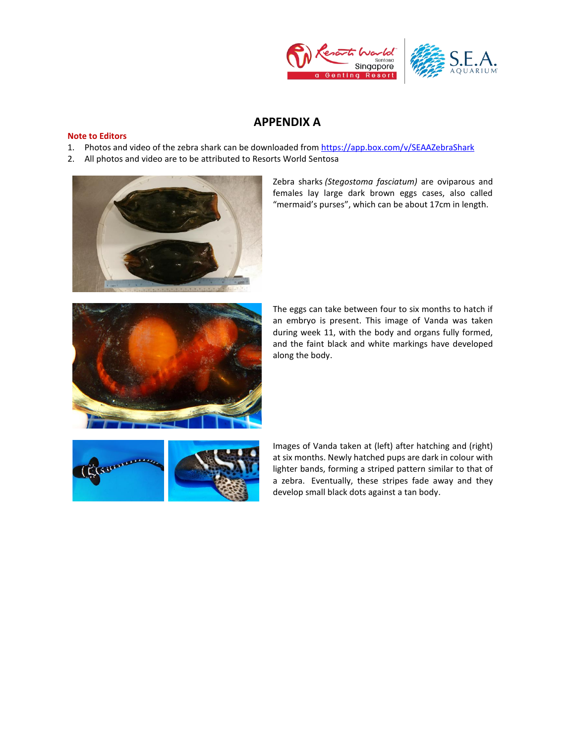



### **APPENDIX A**

#### **Note to Editors**

- 1. Photos and video of the zebra shark can be downloaded from <https://app.box.com/v/SEAAZebraShark>
- 2. All photos and video are to be attributed to Resorts World Sentosa



[Zebra sharks](http://www.georgiaaquarium.org/animal-guide/georgia-aquarium/home/galleries/ocean-voyager/gallery-animals/zebra-shark) *(Stegostoma fasciatum)* are oviparous and females lay large dark brown eggs cases, also called "mermaid's purses", which can be about 17cm in length.



The eggs can take between four to six months to hatch if an embryo is present. This image of Vanda was taken during week 11, with the body and organs fully formed, and the faint black and white markings have developed along the body.



Images of Vanda taken at (left) after hatching and (right) at six months. Newly hatched pups are dark in colour with lighter bands, forming a striped pattern similar to that of a zebra. Eventually, these stripes fade away and they develop small black dots against a tan body.